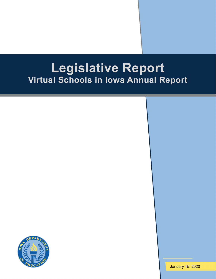# **Legislative Report Virtual Schools in Iowa Annual Report**



January 15, 2020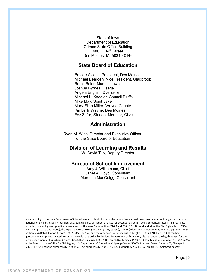State of Iowa Department of Education Grimes State Office Building 400 E. 14th Street Des Moines, IA 50319-0146

## **State Board of Education**

Brooke Axiotis, President, Des Moines Michael Bearden, Vice President, Gladbrook Bettie Bolar, Marshalltown Joshua Byrnes, Osage Angela English, Dyersville Michael L. Knedler, Council Bluffs Mike May, Spirit Lake Mary Ellen Miller, Wayne County Kimberly Wayne, Des Moines Fez Zafar, Student Member, Clive

# **Administration**

Ryan M. Wise, Director and Executive Officer of the State Board of Education

## **Division of Learning and Results**

W. David Tilly, Deputy Director

## **Bureau of School Improvement**

Amy J. Williamson, Chief Janet A. Boyd, Consultant Meredith MacQuigg, Consultant

It is the policy of the Iowa Department of Education not to discriminate on the basis of race, creed, color, sexual orientation, gender identity, national origin, sex, disability, religion, age, political party affiliation, or actual or potential parental, family or marital status in its programs, activities, or employment practices as required by the Iowa Code sections 216.9 and 256.10(2), Titles VI and VII of the Civil Rights Act of 1964 (42 U.S.C. § 2000d and 2000e), the Equal Pay Act of 1973 (29 U.S.C. § 206, et seq.), Title IX (Educational Amendments, 20 U.S.C.§§ 1681 – 1688), Section 504 (Rehabilitation Act of 1973, 29 U.S.C. § 794), and the Americans with Disabilities Act (42 U.S.C. § 12101, et seq.). If you have questions or complaints related to compliance with this policy by the Iowa Department of Education, please contact the legal counsel for the Iowa Department of Education, Grimes State Office Building, 400 E. 14th Street, Des Moines, IA 50319-0146, telephone number: 515-281-5295, or the Director of the Office for Civil Rights, U.S. Department of Education, Citigroup Center, 500 W. Madison Street, Suite 1475, Chicago, IL 60661-4544, telephone number: 312-730-1560, FAX number: 312-730-1576, TDD number: 877-521-2172, email: OCR.Chicago@ed.gov.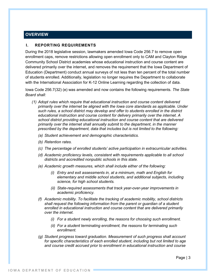# **OVERVIEW**

## **I. REPORTING REQUIREMENTS**

During the 2018 legislative session, lawmakers amended Iowa Code 256.7 to remove open enrollment caps, remove restrictions allowing open enrollment only to CAM and Clayton Ridge Community School District academies whose educational instruction and course content are delivered primarily over the internet, and removes the requirement that the Iowa Department of Education (Department) conduct annual surveys of not less than ten percent of the total number of students enrolled. Additionally, legislation no longer requires the Department to collaborate with the International Association for K-12 Online Learning regarding the collection of data.

Iowa Code 256.7(32) (e) was amended and now contains the following requirements. *The State Board shall:*

- *(1) Adopt rules which require that educational instruction and course content delivered primarily over the internet be aligned with the Iowa core standards as applicable. Under such rules, a school district may develop and offer to students enrolled in the district educational instruction and course content for delivery primarily over the internet. A school district providing educational instruction and course content that are delivered primarily over the internet shall annually submit to the department, in the manner prescribed by the department, data that includes but is not limited to the following:*
	- *(a) Student achievement and demographic characteristics.*
	- *(b) Retention rates.*
	- *(c) The percentage of enrolled students' active participation in extracurricular activities.*
	- *(d) Academic proficiency levels, consistent with requirements applicable to all school districts and accredited nonpublic schools in this state.*
	- *(e) Academic growth measures, which shall include either of the following:*
		- *(i) Entry and exit assessments in, at a minimum, math and English for elementary and middle school students, and additional subjects, including science, for high school students.*
		- *(ii) State-required assessments that track year-over-year improvements in academic proficiency.*
	- *(f) Academic mobility. To facilitate the tracking of academic mobility, school districts shall request the following information from the parent or guardian of a student enrolled in educational instruction and course content that are delivered primarily over the internet.*
		- *(i) For a student newly enrolling, the reasons for choosing such enrollment.*
		- *(ii) For a student terminating enrollment, the reasons for terminating such enrollment.*
	- *(g) Student progress toward graduation. Measurement of such progress shall account for specific characteristics of each enrolled student, including but not limited to age and course credit accrued prior to enrollment in educational instruction and course*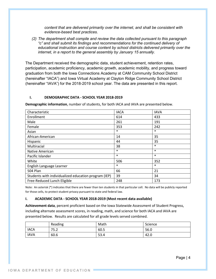*content that are delivered primarily over the internet, and shall be consistent with evidence-based best practices.*

*(2) The department shall compile and review the data collected pursuant to this paragraph "c" and shall submit its findings and recommendations for the continued delivery of educational instruction and course content by school districts delivered primarily over the internet, in a report to the general assembly by January 15 annually.*

The Department received the demographic data, student achievement, retention rates, participation, academic proficiency, academic growth, academic mobility, and progress toward graduation from both the Iowa Connections Academy at CAM Community School District (hereinafter "IACA") and Iowa Virtual Academy at Clayton Ridge Community School District (hereinafter "IAVA") for the 2018-2019 school year. The data are presented in this report.

#### **I. DEMOGRAPHIC DATA - SCHOOL YEAR 2018-2019**

**Demographic information**, number of students, for both IACA and IAVA are presented below.

| Characteristic                                       | <b>IACA</b> | <b>IAVA</b> |
|------------------------------------------------------|-------------|-------------|
| Enrollment                                           | 614         | 433         |
| Male                                                 | 261         | 191         |
| Female                                               | 353         | 242         |
| Asian                                                | $\ast$      | $\ast$      |
| African-American                                     | 14          | 35          |
| Hispanic                                             | 44          | 35          |
| Multiracial                                          | 38          | $\ast$      |
| Native American                                      | $\ast$      | $\ast$      |
| Pacific Islander                                     | $\ast$      | $\ast$      |
| White                                                | 506         | 352         |
| English Language Learner                             | $\ast$      | $\ast$      |
| <b>504 Plan</b>                                      | 66          | 21          |
| Students with individualized education program (IEP) | 39          | 34          |
| Free-Reduced Lunch Eligible                          | 248         | 173         |

Note: An asterisk (\*) indicates that there are fewer than ten students in that particular cell. No data will be publicly reported for those cells, to protect student privacy pursuant to state and federal law.

#### **I. ACADEMIC DATA - SCHOOL YEAR 2018-2019 (Most recent data available)**

**Achievement data**, percent proficient based on the Iowa Statewide Assessment of Student Progress, including alternate assessment scores, in reading, math, and science for both IACA and IAVA are presented below. Results are calculated for all grade levels served combined.

|             | Reading | Math | Science |
|-------------|---------|------|---------|
| <b>IACA</b> | 75.2    | 60.5 | 56.0    |
| <b>IAVA</b> | 60.6    | 53.4 | 42.0    |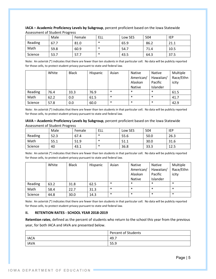|         | Male | Female | ELL    | Low SES | 504  | <b>IEP</b> |
|---------|------|--------|--------|---------|------|------------|
| Reading | 67.7 | 81.0   | $\ast$ | 65.9    | 86.2 | 21.1       |
| Math    | 59.8 | 60.9   | ∗      | 54.7    | 71.4 | 10.5       |
| Science | 53.7 | 57.7   | ∗      | 43.5    | 64.3 | 37.5       |

**IACA – Academic Proficiency Levels by Subgroup**, percent proficient based on the Iowa Statewide Assessment of Student Progress

Note: An asterisk (\*) indicates that there are fewer than ten students in that particular cell. No data will be publicly reported for those cells, to protect student privacy pursuant to state and federal law.

|         | White | <b>Black</b> | Hispanic | Asian  | <b>Native</b> | Native    | Multiple  |
|---------|-------|--------------|----------|--------|---------------|-----------|-----------|
|         |       |              |          |        | American/     | Hawaiian/ | Race/Ethn |
|         |       |              |          |        | Alaskan       | Pacific   | icity     |
|         |       |              |          |        | Native        | Islander  |           |
| Reading | 76.4  | 33.3         | 76.9     | $\ast$ | $\ast$        | $\ast$    | 61.5      |
| Math    | 62.2  | 0.0          | 61.5     | $\ast$ | $\ast$        | $\ast$    | 41.7      |
| Science | 57.8  | 0.0          | 60.0     | $\ast$ | $\ast$        | $\ast$    | 42.9      |

Note: An asterisk (\*) indicates that there are fewer than ten students in that particular cell. No data will be publicly reported for those cells, to protect student privacy pursuant to state and federal law.

**IAVA – Academic Proficiency Levels by Subgroup**, percent proficient based on the Iowa Statewide Assessment of Student Progress

|         | Male | Female | ELL    | Low SES | 504  | <b>IEP</b> |
|---------|------|--------|--------|---------|------|------------|
| Reading | 52.3 | 67.4   | $\ast$ | 55.6    | 50.0 | 26.3       |
| Math    | 55.1 | 51.9   | $\ast$ | 51.1    | 30.0 | 31.6       |
| Science | 40   | 43.1   | *      | 36.8    | 33.3 | 12.5       |

Note: An asterisk (\*) indicates that there are fewer than ten students in that particular cell. No data will be publicly reported for those cells, to protect student privacy pursuant to state and federal law.

|         | White | <b>Black</b> | Hispanic | Asian  | Native        | <b>Native</b> | Multiple  |
|---------|-------|--------------|----------|--------|---------------|---------------|-----------|
|         |       |              |          |        | American/     | Hawaiian/     | Race/Ethn |
|         |       |              |          |        | Alaskan       | Pacific       | icity     |
|         |       |              |          |        | <b>Native</b> | Islander      |           |
| Reading | 63.2  | 31.8         | 62.5     | $\ast$ | $\ast$        | $\ast$        | $\ast$    |
| Math    | 58.4  | 22.7         | 31.3     | $\ast$ | $\ast$        | $\ast$        | $\ast$    |
| Science | 44.8  | 30.0         | 14.3     | $\ast$ | $\ast$        | $\ast$        | $\ast$    |

Note: An asterisk (\*) indicates that there are fewer than ten students in that particular cell. No data will be publicly reported for those cells, to protect student privacy pursuant to state and federal law.

#### **II. RETENTION RATES - SCHOOL YEAR 2018-2019**

**Retention rates**, defined as the percent of students who return to the school this year from the previous year, for both IACA and IAVA are presented below.

|             | <b>Percent of Students</b> |
|-------------|----------------------------|
| <b>IACA</b> | 49.7<br>-                  |
| <b>IAVA</b> | 55.9                       |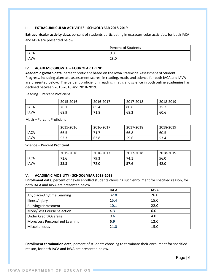#### **III. EXTRACURRICULAR ACTIVITIES - SCHOOL YEAR 2018-2019**

**Extracurricular activity data**, percent of students participating in extracurricular activities, for both IACA and IAVA are presented below.

|             | <b>Percent of Students</b> |
|-------------|----------------------------|
| <b>IACA</b> | 9.8                        |
| <b>IAVA</b> | າລ ດ<br>zo.u               |

#### **IV. ACADEMIC GROWTH – FOUR YEAR TREND**

**Academic growth data**, percent proficient based on the Iowa Statewide Assessment of Student Progress, including alternate assessment scores, in reading, math, and science for both IACA and IAVA are presented below. The percent proficient in reading, math, and science in both online academies has declined between 2015-2016 and 2018-2019.

Reading – Percent Proficient

|             | 2015-2016 | 2016-2017 | 2017-2018 | 2018-2019 |
|-------------|-----------|-----------|-----------|-----------|
| <b>IACA</b> | 76.1      | 85.4      | 80.6      | 75.2      |
| <b>IAVA</b> | 68.9      | 71.8      | 68.2      | 60.6      |

Math – Percent Proficient

|             | 2015-2016 | 2016-2017 | 2017-2018 | 2018-2019 |
|-------------|-----------|-----------|-----------|-----------|
| <b>IACA</b> | 66.5      | 71<br>.   | 66.8      | 60.5      |
| <b>IAVA</b> | 52.3      | 63.8      | 59.6      | 53.4      |

Science – Percent Proficient

|             | 2015-2016 | 2016-2017 | 2017-2018 | 2018-2019 |
|-------------|-----------|-----------|-----------|-----------|
| <b>IACA</b> | 71.6      | 79.3      | 74.1      | 56.0      |
| <b>IAVA</b> | 33.3      | 72.0      | 57.6      | 42.0      |

#### **V. ACADEMIC MOBILITY - SCHOOL YEAR 2018-2019**

**Enrollment data**, percent of newly enrolled students choosing such enrollment for specified reason, for both IACA and IAVA are presented below.

|                                 | <b>IACA</b> | <b>IAVA</b> |
|---------------------------------|-------------|-------------|
| Anyplace/Anytime Learning       | 32.8        | 26.0        |
| Illness/Injury                  | 15.4        | 15.0        |
| <b>Bullying/Harassment</b>      | 10.1        | 22.0        |
| More/Less Course Selection      | 4.3         | 6.0         |
| <b>Under Credit/Overage</b>     | 9.6         | 4.0         |
| More/Less Personalized Learning | 6.9         | 12.0        |
| Miscellaneous                   | 21.0        | 15.0        |

**Enrollment termination data**, percent of students choosing to terminate their enrollment for specified reason, for both IACA and IAVA are presented below.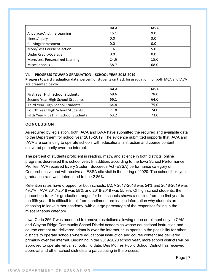|                                 | <b>IACA</b> | <b>IAVA</b> |
|---------------------------------|-------------|-------------|
| Anyplace/Anytime Learning       | 15.1        | 9.0         |
| Illness/Injury                  | 0.0         | 3.0         |
| <b>Bullying/Harassment</b>      | 0.0         | 0.0         |
| More/Less Course Selection      | 1.6         | 5.0         |
| <b>Under Credit/Overage</b>     | 0.0         | 0.0         |
| More/Less Personalized Learning | 24.6        | 15.0        |
| Miscellaneous                   | 58.7        | 68.0        |

#### **VI. PROGRESS TOWARD GRADUATION – SCHOOL YEAR 2018-2019**

**Progress toward graduation data**, percent of students on track for graduation, for both IACA and IAVA are presented below.

|                                      | <b>IACA</b> | <b>IAVA</b> |
|--------------------------------------|-------------|-------------|
| First Year High School Students      | 69.6        | 78.0        |
| Second Year High School Students     | 66.1        | 64.0        |
| Third Year High School Students      | 64.8        | 75.0        |
| Fourth Year High School Students     | 71.8        | 74.0        |
| Fifth Year Plus High School Students | 63.2        | 73.0        |

### **CONCLUSION**

As required by legislation, both IACA and IAVA have submitted the required and available data to the Department for school year 2018-2019. The evidence submitted supports that IACA and IAVA are continuing to operate schools with educational instruction and course content delivered primarily over the internet.

The percent of students proficient in reading, math, and science in both districts' online programs decreased this school year. In addition, according to the Iowa School Performance Profiles IAVA received Every Student Succeeds Act (ESSA) performance category of Comprehensive and will receive an ESSA site visit in the spring of 2020. The school four- year graduation rate was determined to be 42.86%.

Retention rates have dropped for both schools. IACA 2017-2018 was 54% and 2018-2019 was 49.7%. IAVA 2017-2018 was 58% and 2018-2019 was 55.9%. Of high school students, the percent on-track for graduation ranges for both schools shows a decline from the first year to the fifth year. It is difficult to tell from enrollment termination information why students are choosing to leave either academy, with a large percentage of the responses falling in the miscellaneous category.

Iowa Code 256.7 was amended to remove restrictions allowing open enrollment only to CAM and Clayton Ridge Community School District academies whose educational instruction and course content are delivered primarily over the internet, thus opens up the possibility for other districts to operate schools where educational instruction and course content are delivered primarily over the internet. Beginning in the 2019-2020 school year, more school districts will be approved to operate virtual schools. To date, Des Moines Public School District has received approval and other school districts are participating in the process.